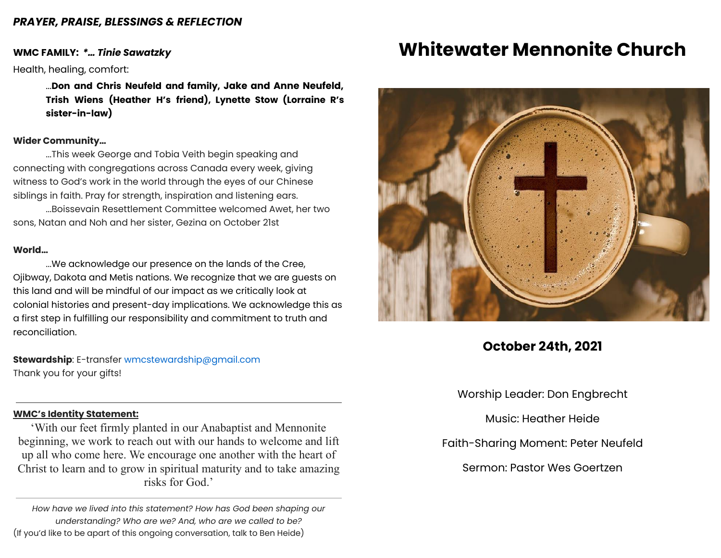### *PRAYER, PRAISE, BLESSINGS & REFLECTION*

### **WMC FAMILY:** *\*… Tinie Sawatzky*

Health, healing, comfort:

...**Don and Chris Neufeld and family, Jake and Anne Neufeld, Trish Wiens (Heather H's friend), Lynette Stow (Lorraine R's sister-in-law)**

## **Wider Community…**

...This week George and Tobia Veith begin speaking and connecting with congregations across Canada every week, giving witness to God's work in the world through the eyes of our Chinese siblings in faith. Pray for strength, inspiration and listening ears.

...Boissevain Resettlement Committee welcomed Awet, her two sons, Natan and Noh and her sister, Gezina on October 21st

#### **World…**

...We acknowledge our presence on the lands of the Cree, Ojibway, Dakota and Metis nations. We recognize that we are guests on this land and will be mindful of our impact as we critically look at colonial histories and present-day implications. We acknowledge this as a first step in fulfilling our responsibility and commitment to truth and reconciliation.

**Stewardship**: E-transfer [wmcstewardship@gmail.com](mailto:wmcstewardship@gmail.com) Thank you for your gifts!

#### **WMC's Identity Statement:**

'With our feet firmly planted in our Anabaptist and Mennonite beginning, we work to reach out with our hands to welcome and lift up all who come here. We encourage one another with the heart of Christ to learn and to grow in spiritual maturity and to take amazing risks for God.'

*How have we lived into this statement? How has God been shaping our understanding? Who are we? And, who are we called to be?* (If you'd like to be apart of this ongoing conversation, talk to Ben Heide)

## **Whitewater Mennonite Church**



## **October 24th, 2021**

Worship Leader: Don Engbrecht

Music: Heather Heide

Faith-Sharing Moment: Peter Neufeld

Sermon: Pastor Wes Goertzen